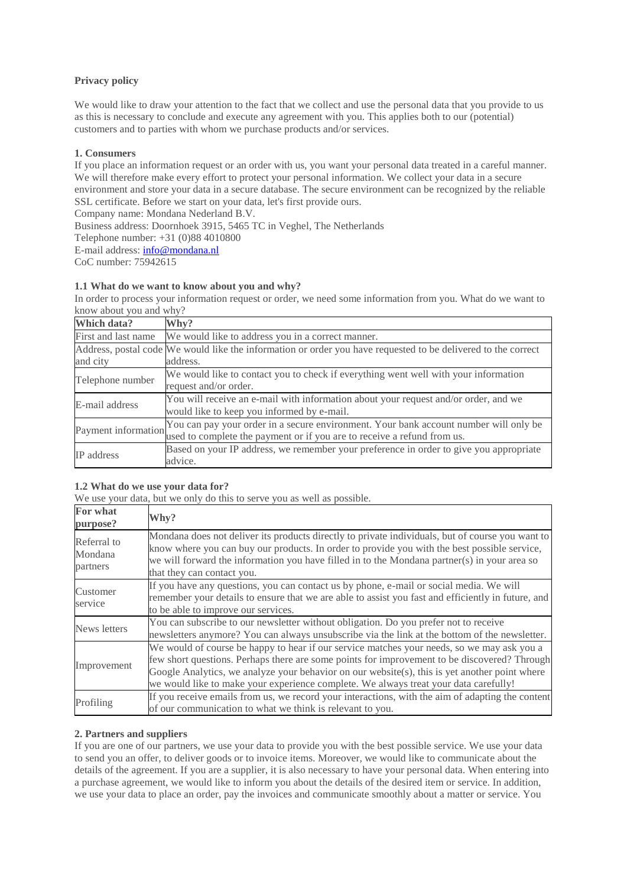# **Privacy policy**

We would like to draw your attention to the fact that we collect and use the personal data that you provide to us as this is necessary to conclude and execute any agreement with you. This applies both to our (potential) customers and to parties with whom we purchase products and/or services.

## **1. Consumers**

If you place an information request or an order with us, you want your personal data treated in a careful manner. We will therefore make every effort to protect your personal information. We collect your data in a secure environment and store your data in a secure database. The secure environment can be recognized by the reliable SSL certificate. Before we start on your data, let's first provide ours.

Company name: Mondana Nederland B.V.

Business address: Doornhoek 3915, 5465 TC in Veghel, The Netherlands

Telephone number: +31 (0)88 4010800

E-mail address: [info@mondana.nl](mailto:info@mondana.nl)

CoC number: 75942615

### **1.1 What do we want to know about you and why?**

In order to process your information request or order, we need some information from you. What do we want to know about you and why?

| Which data?         | Why?                                                                                                          |
|---------------------|---------------------------------------------------------------------------------------------------------------|
| First and last name | We would like to address you in a correct manner.                                                             |
|                     | Address, postal code We would like the information or order you have requested to be delivered to the correct |
| and city            | address.                                                                                                      |
| Telephone number    | We would like to contact you to check if everything went well with your information                           |
|                     | request and/or order.                                                                                         |
| E-mail address      | You will receive an e-mail with information about your request and/or order, and we                           |
|                     | would like to keep you informed by e-mail.                                                                    |
| Payment information | You can pay your order in a secure environment. Your bank account number will only be                         |
|                     | used to complete the payment or if you are to receive a refund from us.                                       |
| IP address          | Based on your IP address, we remember your preference in order to give you appropriate                        |
|                     | advice.                                                                                                       |

# **1.2 What do we use your data for?**

We use your data, but we only do this to serve you as well as possible.

| For what<br>purpose?               | Why?                                                                                                                                                                                                                                                                                                                                                                                |
|------------------------------------|-------------------------------------------------------------------------------------------------------------------------------------------------------------------------------------------------------------------------------------------------------------------------------------------------------------------------------------------------------------------------------------|
| Referral to<br>Mondana<br>partners | Mondana does not deliver its products directly to private individuals, but of course you want to<br>know where you can buy our products. In order to provide you with the best possible service,<br>we will forward the information you have filled in to the Mondana partner(s) in your area so<br>that they can contact you.                                                      |
| Customer<br>service                | If you have any questions, you can contact us by phone, e-mail or social media. We will<br>remember your details to ensure that we are able to assist you fast and efficiently in future, and<br>to be able to improve our services.                                                                                                                                                |
| News letters                       | You can subscribe to our newsletter without obligation. Do you prefer not to receive<br>newsletters anymore? You can always unsubscribe via the link at the bottom of the newsletter.                                                                                                                                                                                               |
| Improvement                        | We would of course be happy to hear if our service matches your needs, so we may ask you a<br>few short questions. Perhaps there are some points for improvement to be discovered? Through<br>Google Analytics, we analyze your behavior on our website(s), this is yet another point where<br>we would like to make your experience complete. We always treat your data carefully! |
| Profiling                          | If you receive emails from us, we record your interactions, with the aim of adapting the content<br>of our communication to what we think is relevant to you.                                                                                                                                                                                                                       |

### **2. Partners and suppliers**

If you are one of our partners, we use your data to provide you with the best possible service. We use your data to send you an offer, to deliver goods or to invoice items. Moreover, we would like to communicate about the details of the agreement. If you are a supplier, it is also necessary to have your personal data. When entering into a purchase agreement, we would like to inform you about the details of the desired item or service. In addition, we use your data to place an order, pay the invoices and communicate smoothly about a matter or service. You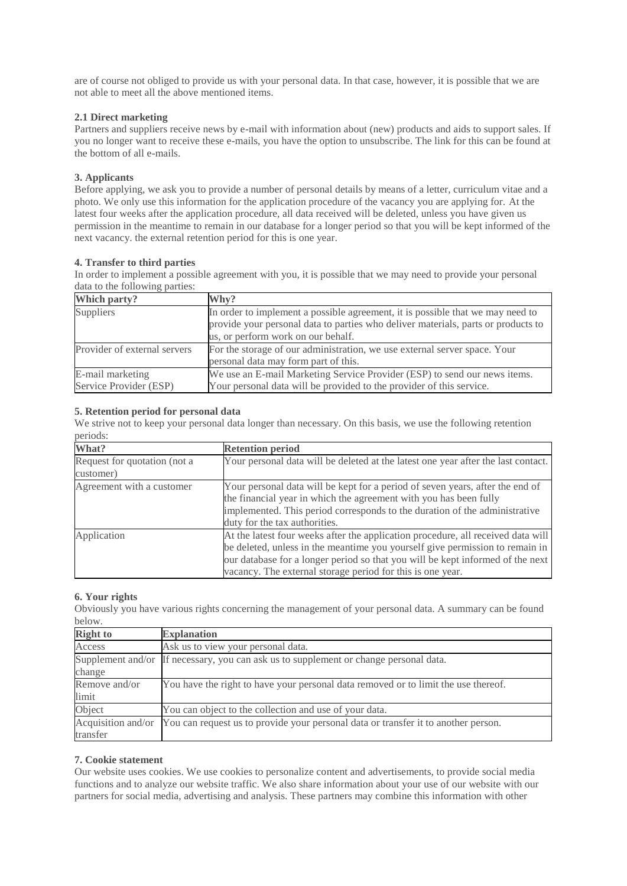are of course not obliged to provide us with your personal data. In that case, however, it is possible that we are not able to meet all the above mentioned items.

## **2.1 Direct marketing**

Partners and suppliers receive news by e-mail with information about (new) products and aids to support sales. If you no longer want to receive these e-mails, you have the option to unsubscribe. The link for this can be found at the bottom of all e-mails.

# **3. Applicants**

Before applying, we ask you to provide a number of personal details by means of a letter, curriculum vitae and a photo. We only use this information for the application procedure of the vacancy you are applying for. At the latest four weeks after the application procedure, all data received will be deleted, unless you have given us permission in the meantime to remain in our database for a longer period so that you will be kept informed of the next vacancy. the external retention period for this is one year.

# **4. Transfer to third parties**

In order to implement a possible agreement with you, it is possible that we may need to provide your personal data to the following parties:

| Which party?                               | Why?                                                                                                                                                                                                      |
|--------------------------------------------|-----------------------------------------------------------------------------------------------------------------------------------------------------------------------------------------------------------|
| Suppliers                                  | In order to implement a possible agreement, it is possible that we may need to<br>provide your personal data to parties who deliver materials, parts or products to<br>us, or perform work on our behalf. |
| Provider of external servers               | For the storage of our administration, we use external server space. Your<br>personal data may form part of this.                                                                                         |
| E-mail marketing<br>Service Provider (ESP) | We use an E-mail Marketing Service Provider (ESP) to send our news items.<br>Your personal data will be provided to the provider of this service.                                                         |

# **5. Retention period for personal data**

We strive not to keep your personal data longer than necessary. On this basis, we use the following retention periods:

| What?                                     | <b>Retention period</b>                                                                                                                                                                                                                                                                                          |
|-------------------------------------------|------------------------------------------------------------------------------------------------------------------------------------------------------------------------------------------------------------------------------------------------------------------------------------------------------------------|
| Request for quotation (not a<br>customer) | Your personal data will be deleted at the latest one year after the last contact.                                                                                                                                                                                                                                |
| Agreement with a customer                 | Your personal data will be kept for a period of seven years, after the end of<br>the financial year in which the agreement with you has been fully<br>implemented. This period corresponds to the duration of the administrative<br>duty for the tax authorities.                                                |
| Application                               | At the latest four weeks after the application procedure, all received data will<br>be deleted, unless in the meantime you yourself give permission to remain in<br>our database for a longer period so that you will be kept informed of the next<br>vacancy. The external storage period for this is one year. |

# **6. Your rights**

Obviously you have various rights concerning the management of your personal data. A summary can be found below.

| <b>Right to</b>    | <b>Explanation</b>                                                                 |
|--------------------|------------------------------------------------------------------------------------|
| Access             | Ask us to view your personal data.                                                 |
| Supplement and/or  | If necessary, you can ask us to supplement or change personal data.                |
| change             |                                                                                    |
| Remove and/or      | You have the right to have your personal data removed or to limit the use thereof. |
| limit              |                                                                                    |
| Object             | You can object to the collection and use of your data.                             |
| Acquisition and/or | You can request us to provide your personal data or transfer it to another person. |
| transfer           |                                                                                    |

## **7. Cookie statement**

Our website uses cookies. We use cookies to personalize content and advertisements, to provide social media functions and to analyze our website traffic. We also share information about your use of our website with our partners for social media, advertising and analysis. These partners may combine this information with other